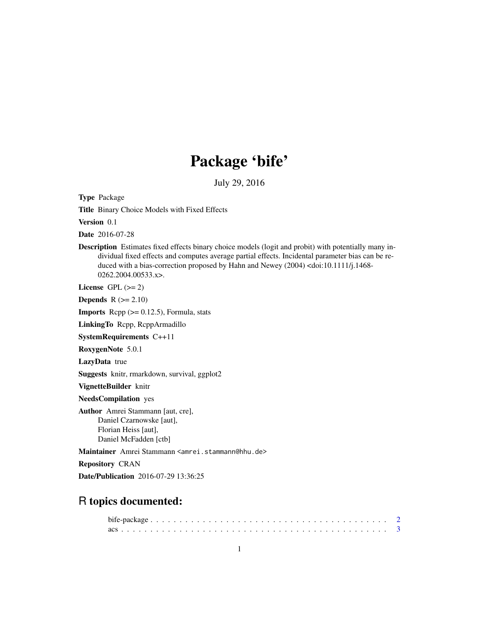# Package 'bife'

July 29, 2016

Type Package

Title Binary Choice Models with Fixed Effects

Version 0.1

Date 2016-07-28

Description Estimates fixed effects binary choice models (logit and probit) with potentially many individual fixed effects and computes average partial effects. Incidental parameter bias can be reduced with a bias-correction proposed by Hahn and Newey (2004) <doi:10.1111/j.1468- 0262.2004.00533.x>.

License GPL  $(>= 2)$ 

Depends  $R$  ( $>= 2.10$ )

**Imports** Rcpp  $(>= 0.12.5)$ , Formula, stats

LinkingTo Rcpp, RcppArmadillo

SystemRequirements C++11

RoxygenNote 5.0.1

LazyData true

Suggests knitr, rmarkdown, survival, ggplot2

VignetteBuilder knitr

NeedsCompilation yes

Author Amrei Stammann [aut, cre], Daniel Czarnowske [aut], Florian Heiss [aut], Daniel McFadden [ctb]

Maintainer Amrei Stammann <amrei.stammann@hhu.de>

Repository CRAN

Date/Publication 2016-07-29 13:36:25

# R topics documented: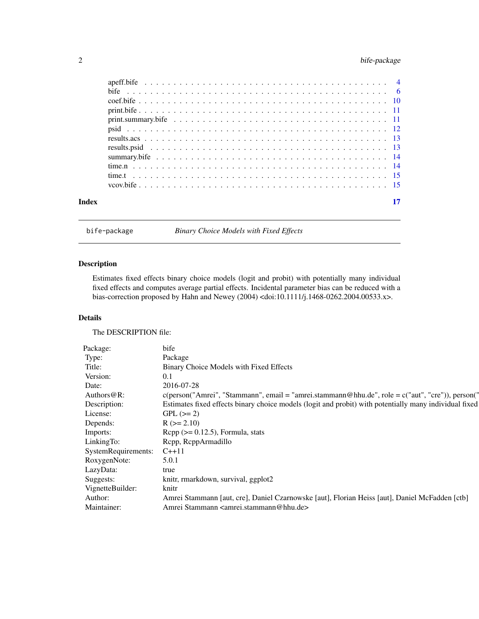# <span id="page-1-0"></span>2 bife-package

| Index |  |
|-------|--|

bife-package *Binary Choice Models with Fixed Effects*

# Description

Estimates fixed effects binary choice models (logit and probit) with potentially many individual fixed effects and computes average partial effects. Incidental parameter bias can be reduced with a bias-correction proposed by Hahn and Newey (2004) <doi:10.1111/j.1468-0262.2004.00533.x>.

#### Details

The DESCRIPTION file:

| Package:            | bife                                                                                                      |
|---------------------|-----------------------------------------------------------------------------------------------------------|
| Type:               | Package                                                                                                   |
| Title:              | Binary Choice Models with Fixed Effects                                                                   |
| Version:            | 0.1                                                                                                       |
| Date:               | 2016-07-28                                                                                                |
| Authors@R:          | $c(\text{person("Amrei", "Stammann", email = "amrei.stammann@hhu.de", role = c("aut", "cre"))$ , person(" |
| Description:        | Estimates fixed effects binary choice models (logit and probit) with potentially many individual fixed    |
| License:            | $GPL (= 2)$                                                                                               |
| Depends:            | $R (= 2.10)$                                                                                              |
| Imports:            | $\text{Rcpp}$ ( $\geq$ 0.12.5), Formula, stats                                                            |
| LinkingTo:          | Rcpp, RcppArmadillo                                                                                       |
| SystemRequirements: | $C_{++}11$                                                                                                |
| RoxygenNote:        | 5.0.1                                                                                                     |
| LazyData:           | true                                                                                                      |
| Suggests:           | knitr, rmarkdown, survival, ggplot2                                                                       |
| VignetteBuilder:    | knitr                                                                                                     |
| Author:             | Amrei Stammann [aut, cre], Daniel Czarnowske [aut], Florian Heiss [aut], Daniel McFadden [ctb]            |
| Maintainer:         | Amrei Stammann <amrei.stammann@hhu.de></amrei.stammann@hhu.de>                                            |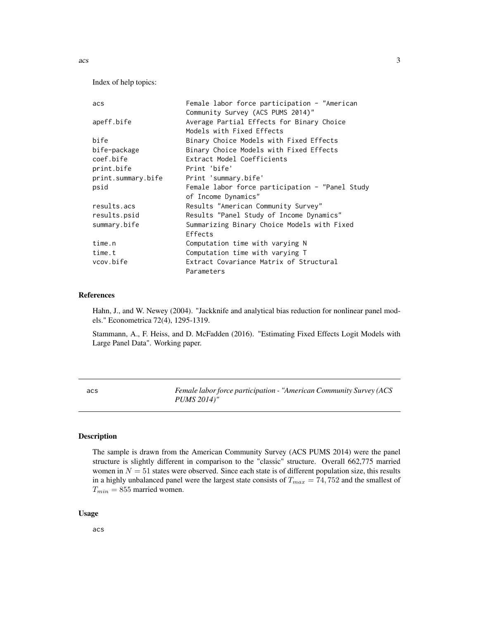Index of help topics:

| acs                | Female labor force participation - "American    |
|--------------------|-------------------------------------------------|
|                    | Community Survey (ACS PUMS 2014)"               |
| apeff.bife         | Average Partial Effects for Binary Choice       |
|                    | Models with Fixed Effects                       |
| bife               | Binary Choice Models with Fixed Effects         |
| bife-package       | Binary Choice Models with Fixed Effects         |
| coef.bife          | Extract Model Coefficients                      |
| print.bife         | Print 'bife'                                    |
| print.summary.bife | Print 'summary.bife'                            |
| psid               | Female labor force participation - "Panel Study |
|                    | of Income Dynamics"                             |
| results.acs        | Results "American Community Survey"             |
| results.psid       | Results "Panel Study of Income Dynamics"        |
| summary.bife       | Summarizing Binary Choice Models with Fixed     |
|                    | Effects                                         |
| time.n             | Computation time with varying N                 |
| time.t             | Computation time with varying T                 |
| vcov.bife          | Extract Covariance Matrix of Structural         |
|                    | Parameters                                      |

#### References

Hahn, J., and W. Newey (2004). "Jackknife and analytical bias reduction for nonlinear panel models." Econometrica 72(4), 1295-1319.

Stammann, A., F. Heiss, and D. McFadden (2016). "Estimating Fixed Effects Logit Models with Large Panel Data". Working paper.

acs *Female labor force participation - "American Community Survey (ACS PUMS 2014)"*

# Description

The sample is drawn from the American Community Survey (ACS PUMS 2014) were the panel structure is slightly different in comparison to the "classic" structure. Overall 662,775 married women in  $N = 51$  states were observed. Since each state is of different population size, this results in a highly unbalanced panel were the largest state consists of  $T_{max} = 74,752$  and the smallest of  $T_{min} = 855$  married women.

#### Usage

acs

<span id="page-2-0"></span> $\frac{1}{3}$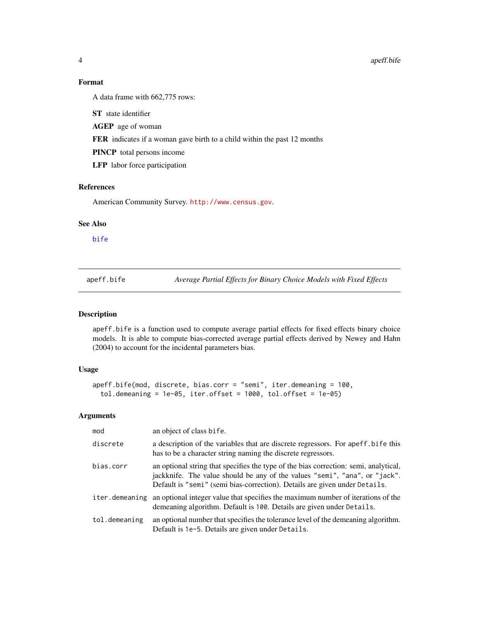# Format

A data frame with 662,775 rows:

ST state identifier

AGEP age of woman

FER indicates if a woman gave birth to a child within the past 12 months

PINCP total persons income

LFP labor force participation

# References

American Community Survey. <http://www.census.gov>.

# See Also

[bife](#page-5-1)

apeff.bife *Average Partial Effects for Binary Choice Models with Fixed Effects*

#### Description

apeff.bife is a function used to compute average partial effects for fixed effects binary choice models. It is able to compute bias-corrected average partial effects derived by Newey and Hahn (2004) to account for the incidental parameters bias.

# Usage

```
apeff.bife(mod, discrete, bias.corr = "semi", iter.demeaning = 100,
  tol.demeaning = 1e-05, iter.offset = 1000, tol.offset = 1e-05)
```
#### Arguments

| mod            | an object of class bife.                                                                                                                                                                                                                         |
|----------------|--------------------------------------------------------------------------------------------------------------------------------------------------------------------------------------------------------------------------------------------------|
| discrete       | a description of the variables that are discrete regressors. For aperthese this<br>has to be a character string naming the discrete regressors.                                                                                                  |
| bias.corr      | an optional string that specifies the type of the bias correction: semi, analytical,<br>jackknife. The value should be any of the values "semi", "ana", or "jack".<br>Default is "semi" (semi bias-correction). Details are given under Details. |
| iter.demeaning | an optional integer value that specifies the maximum number of iterations of the<br>demeaning algorithm. Default is 100. Details are given under Details.                                                                                        |
| tol.demeaning  | an optional number that specifies the tolerance level of the demeaning algorithm.<br>Default is 1e-5. Details are given under Details.                                                                                                           |

<span id="page-3-0"></span>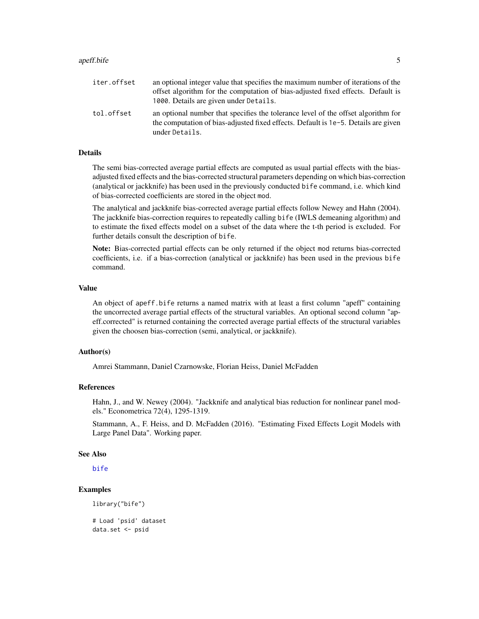#### <span id="page-4-0"></span>apeff.bife 5

| iter.offset | an optional integer value that specifies the maximum number of iterations of the<br>offset algorithm for the computation of bias-adjusted fixed effects. Default is<br>1000. Details are given under Details. |
|-------------|---------------------------------------------------------------------------------------------------------------------------------------------------------------------------------------------------------------|
| tol.offset  | an optional number that specifies the tolerance level of the offset algorithm for<br>the computation of bias-adjusted fixed effects. Default is 1e-5. Details are given<br>under Details.                     |

#### Details

The semi bias-corrected average partial effects are computed as usual partial effects with the biasadjusted fixed effects and the bias-corrected structural parameters depending on which bias-correction (analytical or jackknife) has been used in the previously conducted bife command, i.e. which kind of bias-corrected coefficients are stored in the object mod.

The analytical and jackknife bias-corrected average partial effects follow Newey and Hahn (2004). The jackknife bias-correction requires to repeatedly calling bife (IWLS demeaning algorithm) and to estimate the fixed effects model on a subset of the data where the t-th period is excluded. For further details consult the description of bife.

Note: Bias-corrected partial effects can be only returned if the object mod returns bias-corrected coefficients, i.e. if a bias-correction (analytical or jackknife) has been used in the previous bife command.

#### Value

An object of apeff.bife returns a named matrix with at least a first column "apeff" containing the uncorrected average partial effects of the structural variables. An optional second column "apeff.corrected" is returned containing the corrected average partial effects of the structural variables given the choosen bias-correction (semi, analytical, or jackknife).

#### Author(s)

Amrei Stammann, Daniel Czarnowske, Florian Heiss, Daniel McFadden

#### References

Hahn, J., and W. Newey (2004). "Jackknife and analytical bias reduction for nonlinear panel models." Econometrica 72(4), 1295-1319.

Stammann, A., F. Heiss, and D. McFadden (2016). "Estimating Fixed Effects Logit Models with Large Panel Data". Working paper.

#### See Also

[bife](#page-5-1)

### Examples

```
library("bife")
```

```
# Load 'psid' dataset
data.set <- psid
```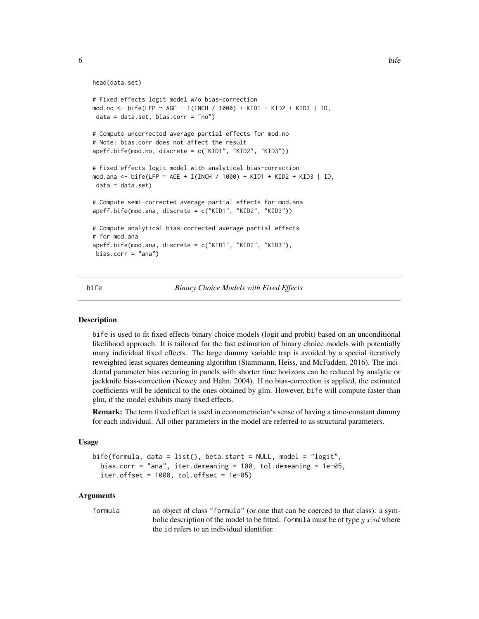```
head(data.set)
```

```
# Fixed effects logit model w/o bias-correction
mod.no <- bife(LFP ~ AGE + I(INCH / 1000) + KID1 + KID2 + KID3 | ID,
data = data.set, bias.corr = "no")# Compute uncorrected average partial effects for mod.no
# Note: bias.corr does not affect the result
apeff.bife(mod.no, discrete = c("KID1", "KID2", "KID3"))
# Fixed effects logit model with analytical bias-correction
mod.ana <- bife(LFP ~ AGE + I(INCH / 1000) + KID1 + KID2 + KID3 | ID,
data = data.set)# Compute semi-corrected average partial effects for mod.ana
apeff.bife(mod.ana, discrete = c("KID1", "KID2", "KID3"))
# Compute analytical bias-corrected average partial effects
# for mod.ana
apeff.bife(mod.ana, discrete = c("KID1", "KID2", "KID3"),
bias.corr = "ana")
```
<span id="page-5-1"></span>

bife *Binary Choice Models with Fixed Effects*

#### **Description**

bife is used to fit fixed effects binary choice models (logit and probit) based on an unconditional likelihood approach. It is tailored for the fast estimation of binary choice models with potentially many individual fixed effects. The large dummy variable trap is avoided by a special iteratively reweighted least squares demeaning algorithm (Stammann, Heiss, and McFadden, 2016). The incidental parameter bias occuring in panels with shorter time horizons can be reduced by analytic or jackknife bias-correction (Newey and Hahn, 2004). If no bias-correction is applied, the estimated coefficients will be identical to the ones obtained by glm. However, bife will compute faster than glm, if the model exhibits many fixed effects.

Remark: The term fixed effect is used in econometrician's sense of having a time-constant dummy for each individual. All other parameters in the model are referred to as structural parameters.

#### Usage

```
bife(formula, data = list(), beta.start = NULL, model = "logit",
 bias.corr = "ana", iter.demeaning = 100, tol.demeaning = 1e-05,
  iter.offset = 1000, tol.offset = 1e-05)
```
#### Arguments

formula an object of class "formula" (or one that can be coerced to that class): a symbolic description of the model to be fitted. formula must be of type  $y \, x | id$  where the id refers to an individual identifier.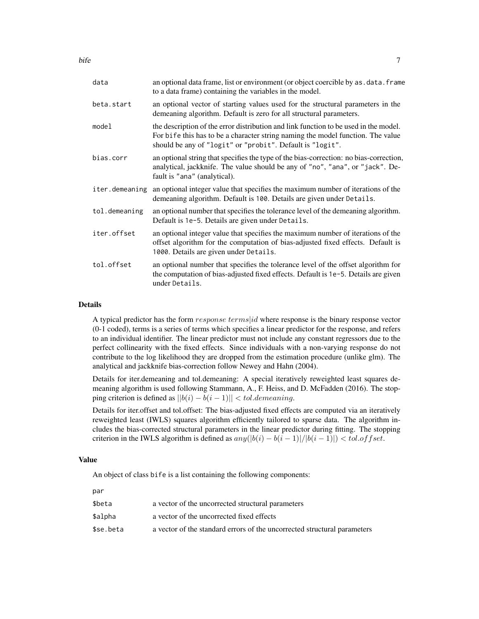| data           | an optional data frame, list or environment (or object coercible by as . data. frame<br>to a data frame) containing the variables in the model.                                                                                      |
|----------------|--------------------------------------------------------------------------------------------------------------------------------------------------------------------------------------------------------------------------------------|
| beta.start     | an optional vector of starting values used for the structural parameters in the<br>demeaning algorithm. Default is zero for all structural parameters.                                                                               |
| model          | the description of the error distribution and link function to be used in the model.<br>For bife this has to be a character string naming the model function. The value<br>should be any of "logit" or "probit". Default is "logit". |
| bias.corr      | an optional string that specifies the type of the bias-correction: no bias-correction,<br>analytical, jackknife. The value should be any of "no", "ana", or "jack". De-<br>fault is "ana" (analytical).                              |
| iter.demeaning | an optional integer value that specifies the maximum number of iterations of the<br>demeaning algorithm. Default is 100. Details are given under Details.                                                                            |
| tol.demeaning  | an optional number that specifies the tolerance level of the demeaning algorithm.<br>Default is 1e-5. Details are given under Details.                                                                                               |
| iter.offset    | an optional integer value that specifies the maximum number of iterations of the<br>offset algorithm for the computation of bias-adjusted fixed effects. Default is<br>1000. Details are given under Details.                        |
| tol.offset     | an optional number that specifies the tolerance level of the offset algorithm for<br>the computation of bias-adjusted fixed effects. Default is 1e-5. Details are given<br>under Details.                                            |
|                |                                                                                                                                                                                                                                      |

#### Details

A typical predictor has the form response terms id where response is the binary response vector (0-1 coded), terms is a series of terms which specifies a linear predictor for the response, and refers to an individual identifier. The linear predictor must not include any constant regressors due to the perfect collinearity with the fixed effects. Since individuals with a non-varying response do not contribute to the log likelihood they are dropped from the estimation procedure (unlike glm). The analytical and jackknife bias-correction follow Newey and Hahn (2004).

Details for iter.demeaning and tol.demeaning: A special iteratively reweighted least squares demeaning algorithm is used following Stammann, A., F. Heiss, and D. McFadden (2016). The stopping criterion is defined as  $||b(i) - b(i - 1)|| < tol.$ demeaning.

Details for iter.offset and tol.offset: The bias-adjusted fixed effects are computed via an iteratively reweighted least (IWLS) squares algorithm efficiently tailored to sparse data. The algorithm includes the bias-corrected structural parameters in the linear predictor during fitting. The stopping criterion in the IWLS algorithm is defined as  $any(|b(i) - b(i - 1)|/|b(i - 1)|) < tol.$ of f set.

#### Value

An object of class bife is a list containing the following components:

| a vector of the uncorrected structural parameters                        |
|--------------------------------------------------------------------------|
| a vector of the uncorrected fixed effects                                |
| a vector of the standard errors of the uncorrected structural parameters |
|                                                                          |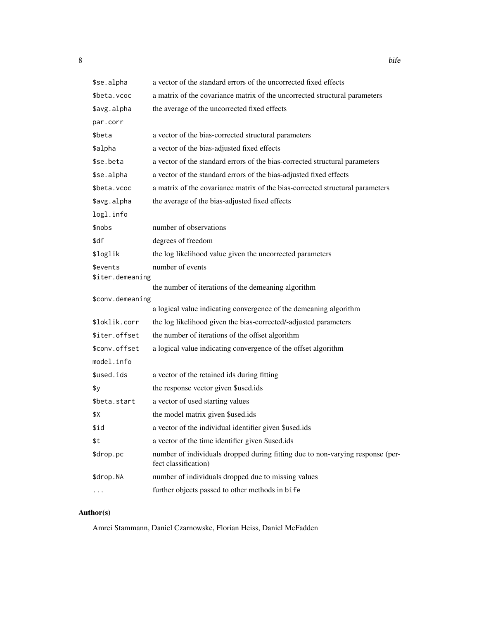| \$se.alpha                   | a vector of the standard errors of the uncorrected fixed effects                                       |
|------------------------------|--------------------------------------------------------------------------------------------------------|
| \$beta.vcoc                  | a matrix of the covariance matrix of the uncorrected structural parameters                             |
| \$avg.alpha                  | the average of the uncorrected fixed effects                                                           |
| par.corr                     |                                                                                                        |
| \$beta                       | a vector of the bias-corrected structural parameters                                                   |
| \$alpha                      | a vector of the bias-adjusted fixed effects                                                            |
| \$se.beta                    | a vector of the standard errors of the bias-corrected structural parameters                            |
| \$se.alpha                   | a vector of the standard errors of the bias-adjusted fixed effects                                     |
| \$beta.vcoc                  | a matrix of the covariance matrix of the bias-corrected structural parameters                          |
| \$avg.alpha                  | the average of the bias-adjusted fixed effects                                                         |
| logl.info                    |                                                                                                        |
| \$nobs                       | number of observations                                                                                 |
| \$df                         | degrees of freedom                                                                                     |
| \$loglik                     | the log likelihood value given the uncorrected parameters                                              |
| \$events<br>\$iter.demeaning | number of events                                                                                       |
|                              | the number of iterations of the demeaning algorithm                                                    |
| \$conv.demeaning             |                                                                                                        |
|                              | a logical value indicating convergence of the demeaning algorithm                                      |
| \$loklik.corr                | the log likelihood given the bias-corrected/-adjusted parameters                                       |
| \$iter.offset                | the number of iterations of the offset algorithm                                                       |
| \$conv.offset                | a logical value indicating convergence of the offset algorithm                                         |
| model.info                   |                                                                                                        |
| \$used.ids                   | a vector of the retained ids during fitting                                                            |
| \$у                          | the response vector given \$used.ids                                                                   |
| \$beta.start                 | a vector of used starting values                                                                       |
| \$Χ                          | the model matrix given \$used.ids                                                                      |
| \$id                         | a vector of the individual identifier given \$used.ids                                                 |
| \$t                          | a vector of the time identifier given \$used.ids                                                       |
| \$drop.pc                    | number of individuals dropped during fitting due to non-varying response (per-<br>fect classification) |
| \$drop.NA                    | number of individuals dropped due to missing values                                                    |
|                              | further objects passed to other methods in bife                                                        |

# Author(s)

Amrei Stammann, Daniel Czarnowske, Florian Heiss, Daniel McFadden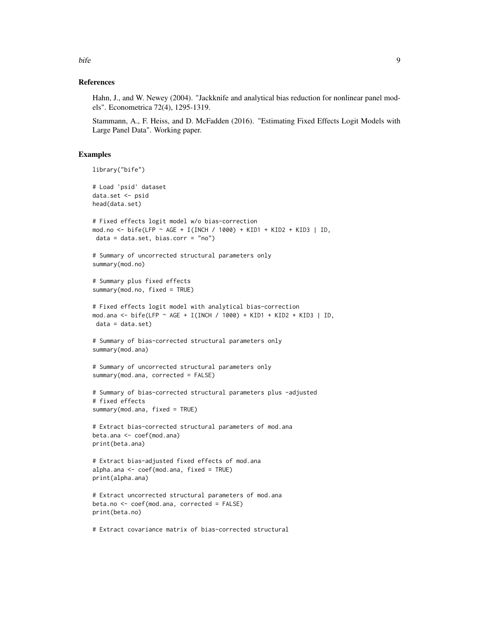References

Hahn, J., and W. Newey (2004). "Jackknife and analytical bias reduction for nonlinear panel models". Econometrica 72(4), 1295-1319.

Stammann, A., F. Heiss, and D. McFadden (2016). "Estimating Fixed Effects Logit Models with Large Panel Data". Working paper.

#### Examples

```
library("bife")
# Load 'psid' dataset
data.set <- psid
head(data.set)
# Fixed effects logit model w/o bias-correction
mod.no <- bife(LFP ~ AGE + I(INCH / 1000) + KID1 + KID2 + KID3 | ID,
data = data.set, bias.corr = "no")# Summary of uncorrected structural parameters only
summary(mod.no)
# Summary plus fixed effects
summary(mod.no, fixed = TRUE)
# Fixed effects logit model with analytical bias-correction
mod.ana <- bife(LFP ~ AGE + I(INCH / 1000) + KID1 + KID2 + KID3 | ID,
data = data.set)
# Summary of bias-corrected structural parameters only
summary(mod.ana)
# Summary of uncorrected structural parameters only
summary(mod.ana, corrected = FALSE)
# Summary of bias-corrected structural parameters plus -adjusted
# fixed effects
summary(mod.ana, fixed = TRUE)
# Extract bias-corrected structural parameters of mod.ana
beta.ana <- coef(mod.ana)
print(beta.ana)
# Extract bias-adjusted fixed effects of mod.ana
alpha.ana <- coef(mod.ana, fixed = TRUE)
print(alpha.ana)
# Extract uncorrected structural parameters of mod.ana
beta.no <- coef(mod.ana, corrected = FALSE)
print(beta.no)
```
# Extract covariance matrix of bias-corrected structural

bife the set of the set of the set of the set of the set of the set of the set of the set of the set of the set of the set of the set of the set of the set of the set of the set of the set of the set of the set of the set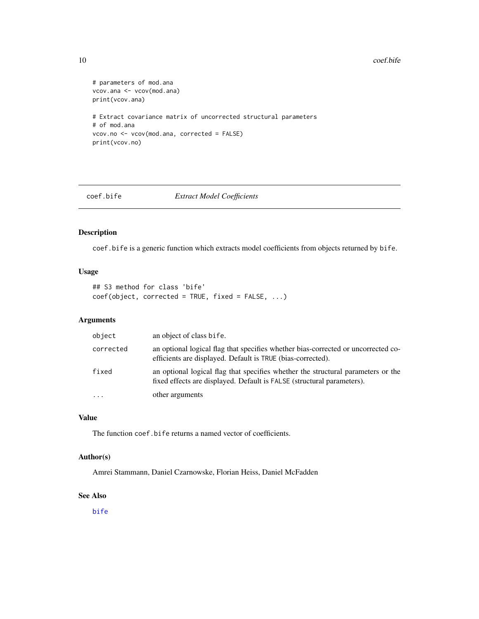#### <span id="page-9-0"></span>10 coef.bife

```
# parameters of mod.ana
vcov.ana <- vcov(mod.ana)
print(vcov.ana)
# Extract covariance matrix of uncorrected structural parameters
# of mod.ana
vcov.no <- vcov(mod.ana, corrected = FALSE)
print(vcov.no)
```
coef.bife *Extract Model Coefficients*

# Description

coef.bife is a generic function which extracts model coefficients from objects returned by bife.

# Usage

## S3 method for class 'bife' coef(object, corrected = TRUE, fixed = FALSE, ...)

#### Arguments

| object    | an object of class bife.                                                                                                                                   |
|-----------|------------------------------------------------------------------------------------------------------------------------------------------------------------|
| corrected | an optional logical flag that specifies whether bias-corrected or uncorrected co-<br>efficients are displayed. Default is TRUE (bias-corrected).           |
| fixed     | an optional logical flag that specifies whether the structural parameters or the<br>fixed effects are displayed. Default is FALSE (structural parameters). |
| $\ddotsc$ | other arguments                                                                                                                                            |

# Value

The function coef.bife returns a named vector of coefficients.

# Author(s)

Amrei Stammann, Daniel Czarnowske, Florian Heiss, Daniel McFadden

#### See Also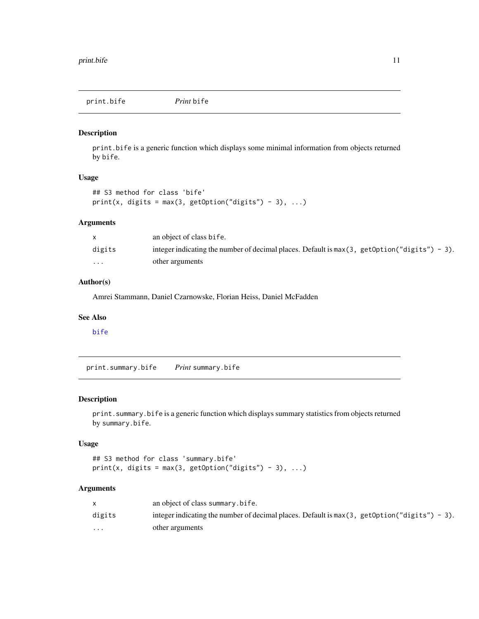<span id="page-10-0"></span>print.bife *Print* bife

#### Description

print.bife is a generic function which displays some minimal information from objects returned by bife.

## Usage

```
## S3 method for class 'bife'
print(x, digits = max(3, getOption("digits") - 3), ...)
```
#### Arguments

|                         | an object of class bife.                                                                        |
|-------------------------|-------------------------------------------------------------------------------------------------|
| digits                  | integer indicating the number of decimal places. Default is $max(3, getOption("digits") - 3)$ . |
| $\cdot$ $\cdot$ $\cdot$ | other arguments                                                                                 |

#### Author(s)

Amrei Stammann, Daniel Czarnowske, Florian Heiss, Daniel McFadden

#### See Also

[bife](#page-5-1)

print.summary.bife *Print* summary.bife

# Description

print.summary.bife is a generic function which displays summary statistics from objects returned by summary.bife.

## Usage

```
## S3 method for class 'summary.bife'
print(x, digits = max(3, getOption("digits") - 3), ...)
```
#### Arguments

|                         | an object of class summary.bife.                                                                |
|-------------------------|-------------------------------------------------------------------------------------------------|
| digits                  | integer indicating the number of decimal places. Default is $max(3, getOption("digits") - 3)$ . |
| $\cdot$ $\cdot$ $\cdot$ | other arguments                                                                                 |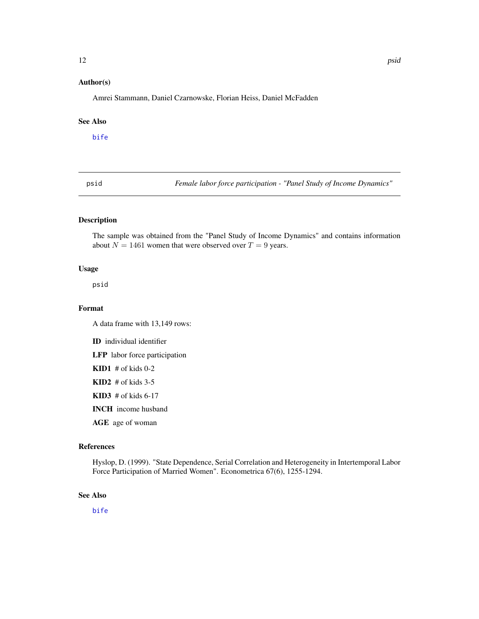#### <span id="page-11-0"></span>Author(s)

Amrei Stammann, Daniel Czarnowske, Florian Heiss, Daniel McFadden

#### See Also

[bife](#page-5-1)

psid *Female labor force participation - "Panel Study of Income Dynamics"*

# Description

The sample was obtained from the "Panel Study of Income Dynamics" and contains information about  $N = 1461$  women that were observed over  $T = 9$  years.

#### Usage

psid

# Format

A data frame with 13,149 rows:

ID individual identifier

LFP labor force participation

 $KID1$  # of kids 0-2

 $KID2$  # of kids 3-5

 $KID3$  # of kids 6-17

INCH income husband

AGE age of woman

#### References

Hyslop, D. (1999). "State Dependence, Serial Correlation and Heterogeneity in Intertemporal Labor Force Participation of Married Women". Econometrica 67(6), 1255-1294.

#### See Also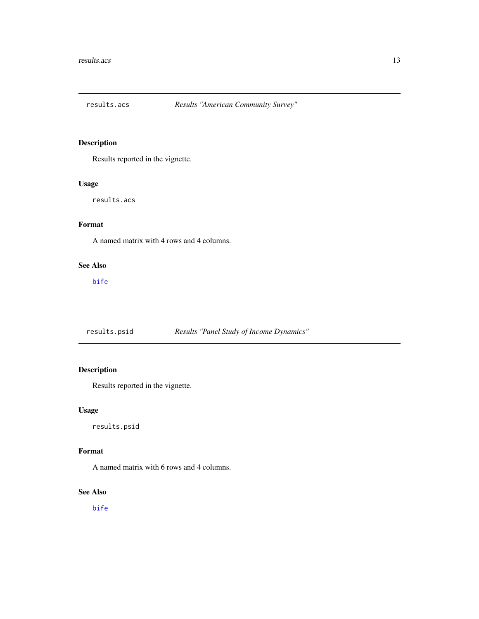<span id="page-12-0"></span>

# Description

Results reported in the vignette.

#### Usage

results.acs

# Format

A named matrix with 4 rows and 4 columns.

# See Also

[bife](#page-5-1)

results.psid *Results "Panel Study of Income Dynamics"*

# Description

Results reported in the vignette.

# Usage

results.psid

# Format

A named matrix with 6 rows and 4 columns.

# See Also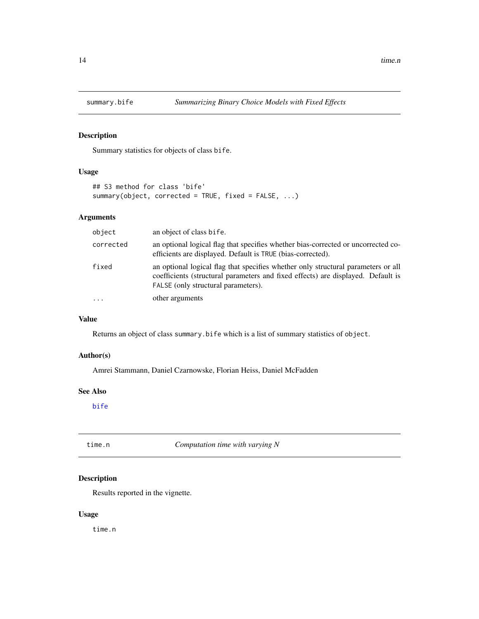<span id="page-13-0"></span>

# Description

Summary statistics for objects of class bife.

# Usage

```
## S3 method for class 'bife'
summary(object, corrected = TRUE, fixed = FALSE, ...)
```
# Arguments

| object    | an object of class bife.                                                                                                                                                                                     |
|-----------|--------------------------------------------------------------------------------------------------------------------------------------------------------------------------------------------------------------|
| corrected | an optional logical flag that specifies whether bias-corrected or uncorrected co-<br>efficients are displayed. Default is TRUE (bias-corrected).                                                             |
| fixed     | an optional logical flag that specifies whether only structural parameters or all<br>coefficients (structural parameters and fixed effects) are displayed. Default is<br>FALSE (only structural parameters). |
| .         | other arguments                                                                                                                                                                                              |

# Value

Returns an object of class summary.bife which is a list of summary statistics of object.

### Author(s)

Amrei Stammann, Daniel Czarnowske, Florian Heiss, Daniel McFadden

# See Also

[bife](#page-5-1)

time.n *Computation time with varying N*

# Description

Results reported in the vignette.

# Usage

time.n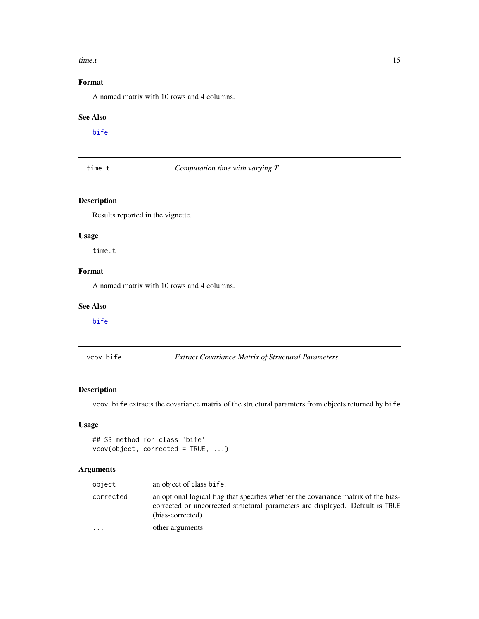#### <span id="page-14-0"></span>time.t 15

# Format

A named matrix with 10 rows and 4 columns.

#### See Also

[bife](#page-5-1)

time.t *Computation time with varying T*

# Description

Results reported in the vignette.

# Usage

time.t

# Format

A named matrix with 10 rows and 4 columns.

# See Also

[bife](#page-5-1)

vcov.bife *Extract Covariance Matrix of Structural Parameters*

# Description

vcov.bife extracts the covariance matrix of the structural paramters from objects returned by bife

# Usage

```
## S3 method for class 'bife'
vcov(object, corrected = TRUE, ...)
```
# Arguments

| object    | an object of class bife.                                                                                                                                                                 |
|-----------|------------------------------------------------------------------------------------------------------------------------------------------------------------------------------------------|
| corrected | an optional logical flag that specifies whether the covariance matrix of the bias-<br>corrected or uncorrected structural parameters are displayed. Default is TRUE<br>(bias-corrected). |
| $\cdots$  | other arguments                                                                                                                                                                          |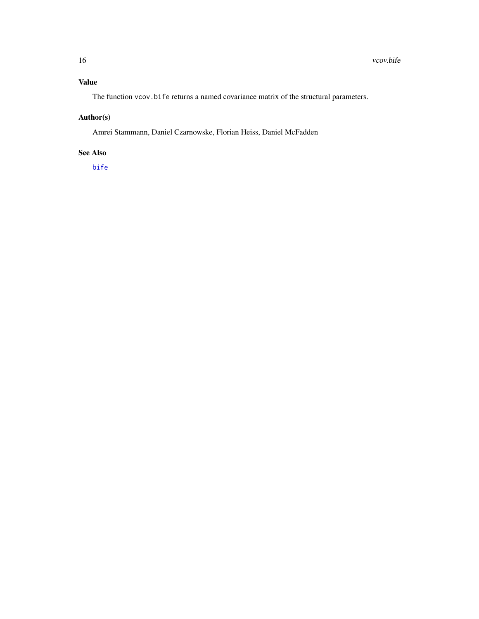# <span id="page-15-0"></span>Value

The function vcov.bife returns a named covariance matrix of the structural parameters.

# Author(s)

Amrei Stammann, Daniel Czarnowske, Florian Heiss, Daniel McFadden

### See Also